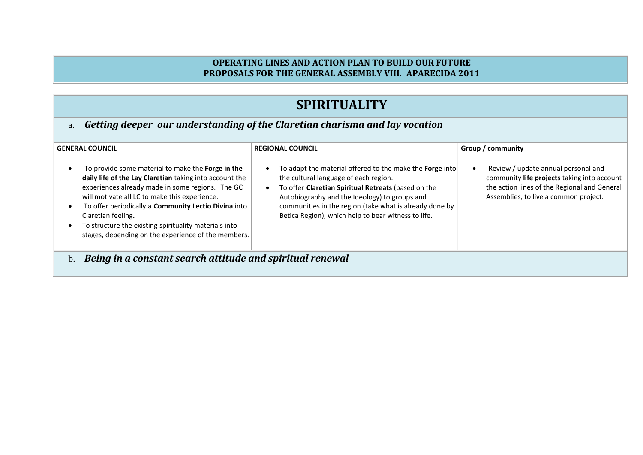#### **OPERATING LINES AND ACTION PLAN TO BUILD OUR FUTURE PROPOSALS FOR THE GENERAL ASSEMBLY VIII. APARECIDA 2011**

### **SPIRITUALITY**

a. *Getting deeper our understanding of the Claretian charisma and lay vocation* 

| <b>GENERAL COUNCIL</b>                                                                                                                                                                                                                                                                                                                                                                                          | <b>REGIONAL COUNCIL</b>                                                                                                                                                                                                                                                                                                     | Group / community                                                                                                                                                           |
|-----------------------------------------------------------------------------------------------------------------------------------------------------------------------------------------------------------------------------------------------------------------------------------------------------------------------------------------------------------------------------------------------------------------|-----------------------------------------------------------------------------------------------------------------------------------------------------------------------------------------------------------------------------------------------------------------------------------------------------------------------------|-----------------------------------------------------------------------------------------------------------------------------------------------------------------------------|
| To provide some material to make the Forge in the<br>daily life of the Lay Claretian taking into account the<br>experiences already made in some regions. The GC<br>will motivate all LC to make this experience.<br>To offer periodically a Community Lectio Divina into<br>Claretian feeling.<br>To structure the existing spirituality materials into<br>stages, depending on the experience of the members. | To adapt the material offered to the make the Forge into<br>the cultural language of each region.<br>To offer Claretian Spiritual Retreats (based on the<br>Autobiography and the Ideology) to groups and<br>communities in the region (take what is already done by<br>Betica Region), which help to bear witness to life. | Review / update annual personal and<br>community life projects taking into account<br>the action lines of the Regional and General<br>Assemblies, to live a common project. |
| Being in a constant search attitude and spiritual renewal<br>b.                                                                                                                                                                                                                                                                                                                                                 |                                                                                                                                                                                                                                                                                                                             |                                                                                                                                                                             |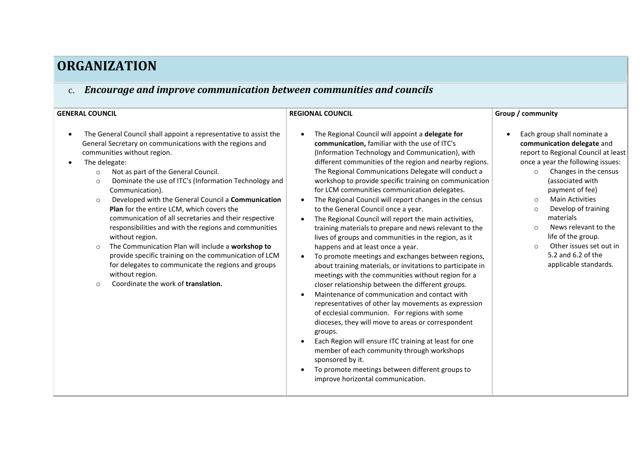# **ORGANIZATION**

### c. *Encourage and improve communication between communities and councils*

| <b>GENERAL COUNCIL</b>                                                                                                                                                                                                                                                                                                                                                                                                                                                                                                                                                                                                                                                                                                                                                                                                         | <b>REGIONAL COUNCIL</b>                                                                                                                                                                                                                                                                                                                                                                                                                                                                                                                                                                                                                                                                                                                                                                                                                                                                                                                                                                                                                                                                                                                                                                                                                                                                                                                                                                                                | Group / community                                                                                                                                                                                                                                                                                                                                                                                                                                     |  |
|--------------------------------------------------------------------------------------------------------------------------------------------------------------------------------------------------------------------------------------------------------------------------------------------------------------------------------------------------------------------------------------------------------------------------------------------------------------------------------------------------------------------------------------------------------------------------------------------------------------------------------------------------------------------------------------------------------------------------------------------------------------------------------------------------------------------------------|------------------------------------------------------------------------------------------------------------------------------------------------------------------------------------------------------------------------------------------------------------------------------------------------------------------------------------------------------------------------------------------------------------------------------------------------------------------------------------------------------------------------------------------------------------------------------------------------------------------------------------------------------------------------------------------------------------------------------------------------------------------------------------------------------------------------------------------------------------------------------------------------------------------------------------------------------------------------------------------------------------------------------------------------------------------------------------------------------------------------------------------------------------------------------------------------------------------------------------------------------------------------------------------------------------------------------------------------------------------------------------------------------------------------|-------------------------------------------------------------------------------------------------------------------------------------------------------------------------------------------------------------------------------------------------------------------------------------------------------------------------------------------------------------------------------------------------------------------------------------------------------|--|
| The General Council shall appoint a representative to assist the<br>General Secretary on communications with the regions and<br>communities without region.<br>The delegate:<br>Not as part of the General Council.<br>$\circ$<br>Dominate the use of ITC's (Information Technology and<br>$\circ$<br>Communication).<br>Developed with the General Council a Communication<br>$\circ$<br>Plan for the entire LCM, which covers the<br>communication of all secretaries and their respective<br>responsibilities and with the regions and communities<br>without region.<br>The Communication Plan will include a workshop to<br>$\circ$<br>provide specific training on the communication of LCM<br>for delegates to communicate the regions and groups<br>without region.<br>Coordinate the work of translation.<br>$\Omega$ | The Regional Council will appoint a delegate for<br>communication, familiar with the use of ITC's<br>(Information Technology and Communication), with<br>different communities of the region and nearby regions.<br>The Regional Communications Delegate will conduct a<br>workshop to provide specific training on communication<br>for LCM communities communication delegates.<br>The Regional Council will report changes in the census<br>$\bullet$<br>to the General Council once a year.<br>The Regional Council will report the main activities,<br>training materials to prepare and news relevant to the<br>lives of groups and communities in the region, as it<br>happens and at least once a year.<br>To promote meetings and exchanges between regions,<br>about training materials, or invitations to participate in<br>meetings with the communities without region for a<br>closer relationship between the different groups.<br>Maintenance of communication and contact with<br>representatives of other lay movements as expression<br>of ecclesial communion. For regions with some<br>dioceses, they will move to areas or correspondent<br>groups.<br>Each Region will ensure ITC training at least for one<br>$\bullet$<br>member of each community through workshops<br>sponsored by it.<br>To promote meetings between different groups to<br>$\bullet$<br>improve horizontal communication. | Each group shall nominate a<br>communication delegate and<br>report to Regional Council at least<br>once a year the following issues:<br>Changes in the census<br>$\circ$<br>(associated with<br>payment of fee)<br><b>Main Activities</b><br>$\circ$<br>Develop of training<br>$\Omega$<br>materials<br>News relevant to the<br>$\Omega$<br>life of the group.<br>Other issues set out in<br>$\Omega$<br>5.2 and 6.2 of the<br>applicable standards. |  |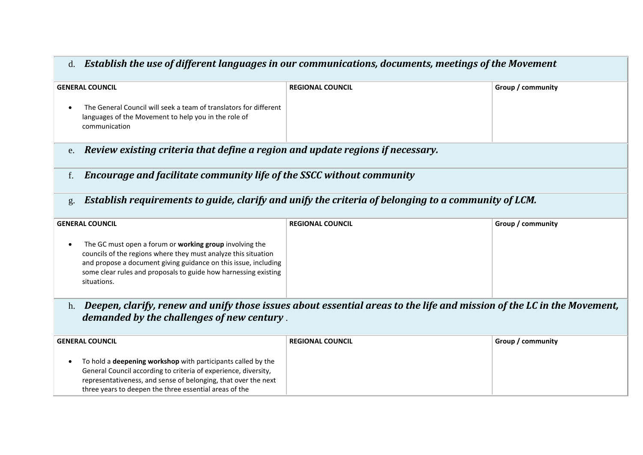### d. *Establish the use of different languages in our communications, documents, meetings of the Movement*

| <b>GENERAL COUNCIL</b>                                                                                                                                                                                                                                                         | <b>REGIONAL COUNCIL</b>                                                                                                | Group / community |
|--------------------------------------------------------------------------------------------------------------------------------------------------------------------------------------------------------------------------------------------------------------------------------|------------------------------------------------------------------------------------------------------------------------|-------------------|
| The General Council will seek a team of translators for different<br>languages of the Movement to help you in the role of<br>communication                                                                                                                                     |                                                                                                                        |                   |
| Review existing criteria that define a region and update regions if necessary.<br>e.                                                                                                                                                                                           |                                                                                                                        |                   |
| Encourage and facilitate community life of the SSCC without community<br>f.                                                                                                                                                                                                    |                                                                                                                        |                   |
| g.                                                                                                                                                                                                                                                                             | Establish requirements to guide, clarify and unify the criteria of belonging to a community of LCM.                    |                   |
| <b>GENERAL COUNCIL</b>                                                                                                                                                                                                                                                         | <b>REGIONAL COUNCIL</b>                                                                                                | Group / community |
| The GC must open a forum or working group involving the<br>councils of the regions where they must analyze this situation<br>and propose a document giving guidance on this issue, including<br>some clear rules and proposals to guide how harnessing existing<br>situations. |                                                                                                                        |                   |
| h.                                                                                                                                                                                                                                                                             | Deepen, clarify, renew and unify those issues about essential areas to the life and mission of the LC in the Movement, |                   |
| demanded by the challenges of new century.                                                                                                                                                                                                                                     |                                                                                                                        |                   |
| <b>GENERAL COUNCIL</b>                                                                                                                                                                                                                                                         | <b>REGIONAL COUNCIL</b>                                                                                                | Group / community |
| To hold a deepening workshop with participants called by the<br>$\bullet$<br>General Council according to criteria of experience, diversity,<br>representativeness, and sense of belonging, that over the next<br>three years to deepen the three essential areas of the       |                                                                                                                        |                   |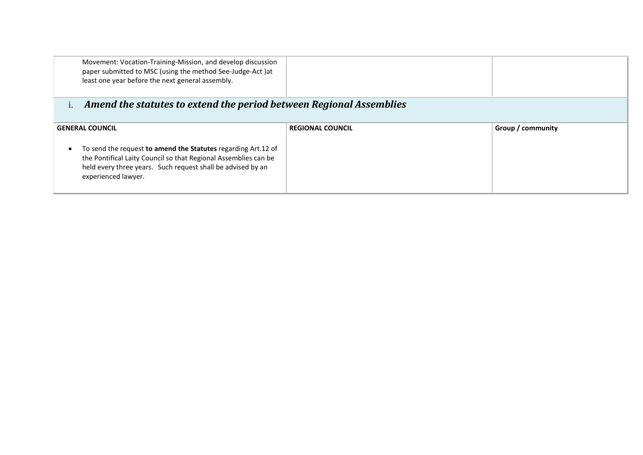| Movement: Vocation-Training-Mission, and develop discussion<br>paper submitted to MSC (using the method See-Judge-Act )at<br>least one year before the next general assembly.                                          |                         |                   |
|------------------------------------------------------------------------------------------------------------------------------------------------------------------------------------------------------------------------|-------------------------|-------------------|
| Amend the statutes to extend the period between Regional Assemblies                                                                                                                                                    |                         |                   |
| <b>GENERAL COUNCIL</b>                                                                                                                                                                                                 | <b>REGIONAL COUNCIL</b> | Group / community |
| To send the request to amend the Statutes regarding Art.12 of<br>the Pontifical Laity Council so that Regional Assemblies can be<br>held every three years. Such request shall be advised by an<br>experienced lawyer. |                         |                   |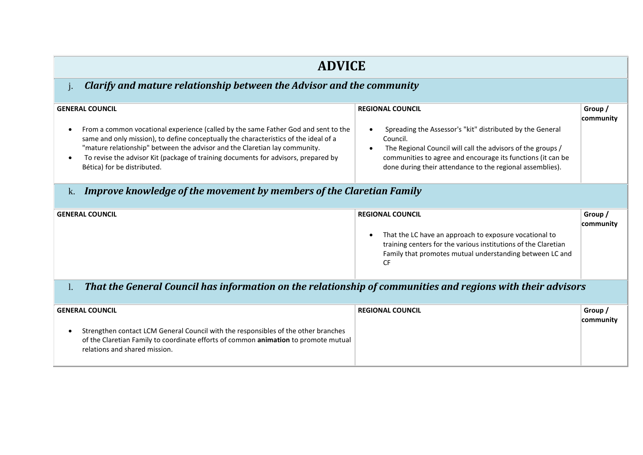| <b>ADVICE</b>                                                                                                                                                                                                                                                                                                                                                                                                                                                                         |                                                                                                                                                                                                                                                                                             |                      |  |
|---------------------------------------------------------------------------------------------------------------------------------------------------------------------------------------------------------------------------------------------------------------------------------------------------------------------------------------------------------------------------------------------------------------------------------------------------------------------------------------|---------------------------------------------------------------------------------------------------------------------------------------------------------------------------------------------------------------------------------------------------------------------------------------------|----------------------|--|
| Clarify and mature relationship between the Advisor and the community                                                                                                                                                                                                                                                                                                                                                                                                                 |                                                                                                                                                                                                                                                                                             |                      |  |
| <b>GENERAL COUNCIL</b><br>From a common vocational experience (called by the same Father God and sent to the<br>same and only mission), to define conceptually the characteristics of the ideal of a<br>"mature relationship" between the advisor and the Claretian lay community.<br>To revise the advisor Kit (package of training documents for advisors, prepared by<br>Bética) for be distributed.<br>Improve knowledge of the movement by members of the Claretian Family<br>k. | <b>REGIONAL COUNCIL</b><br>Spreading the Assessor's "kit" distributed by the General<br>Council.<br>The Regional Council will call the advisors of the groups /<br>communities to agree and encourage its functions (it can be<br>done during their attendance to the regional assemblies). | Group /<br>community |  |
| <b>GENERAL COUNCIL</b>                                                                                                                                                                                                                                                                                                                                                                                                                                                                | <b>REGIONAL COUNCIL</b><br>That the LC have an approach to exposure vocational to<br>training centers for the various institutions of the Claretian<br>Family that promotes mutual understanding between LC and                                                                             | Group /<br>community |  |
| That the General Council has information on the relationship of communities and regions with their advisors<br>$\mathbf{l}$ .<br><b>GENERAL COUNCIL</b><br>Strengthen contact LCM General Council with the responsibles of the other branches<br>$\bullet$<br>of the Claretian Family to coordinate efforts of common animation to promote mutual<br>relations and shared mission.                                                                                                    | <b>CF</b><br><b>REGIONAL COUNCIL</b>                                                                                                                                                                                                                                                        | Group /<br>community |  |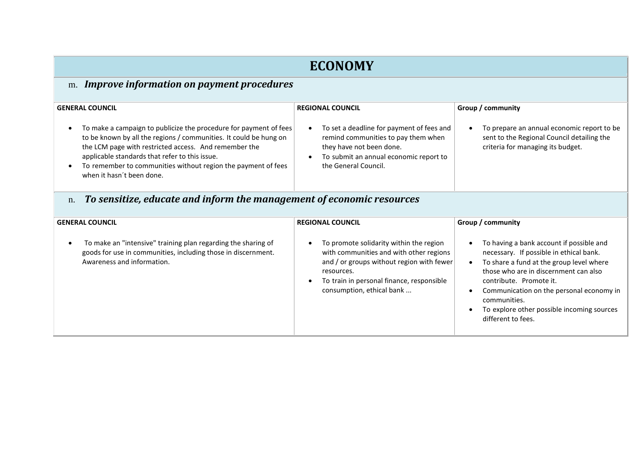### **ECONOMY**

### m. *Improve information on payment procedures*

| <b>GENERAL COUNCIL</b>                                                                                                                                                                                                                                                                                                                          | <b>REGIONAL COUNCIL</b>                                                                                                                                                        | Group / community                                                                                                             |
|-------------------------------------------------------------------------------------------------------------------------------------------------------------------------------------------------------------------------------------------------------------------------------------------------------------------------------------------------|--------------------------------------------------------------------------------------------------------------------------------------------------------------------------------|-------------------------------------------------------------------------------------------------------------------------------|
| To make a campaign to publicize the procedure for payment of fees<br>to be known by all the regions / communities. It could be hung on<br>the LCM page with restricted access. And remember the<br>applicable standards that refer to this issue.<br>To remember to communities without region the payment of fees<br>when it hasn't been done. | To set a deadline for payment of fees and<br>remind communities to pay them when<br>they have not been done.<br>To submit an annual economic report to<br>the General Council. | To prepare an annual economic report to be<br>sent to the Regional Council detailing the<br>criteria for managing its budget. |
| To sensitize, educate and inform the management of economic resources<br>$\mathbf n$                                                                                                                                                                                                                                                            |                                                                                                                                                                                |                                                                                                                               |

n. *To sensitize, educate and inform the management of economic resources*

| <b>GENERAL COUNCIL</b>                                                                                                                                       | <b>REGIONAL COUNCIL</b>                                                                                                                                                                                                 | Group / community                                                                                                                                                                                                                                                                                                                   |
|--------------------------------------------------------------------------------------------------------------------------------------------------------------|-------------------------------------------------------------------------------------------------------------------------------------------------------------------------------------------------------------------------|-------------------------------------------------------------------------------------------------------------------------------------------------------------------------------------------------------------------------------------------------------------------------------------------------------------------------------------|
| To make an "intensive" training plan regarding the sharing of<br>goods for use in communities, including those in discernment.<br>Awareness and information. | To promote solidarity within the region<br>with communities and with other regions<br>and / or groups without region with fewer<br>resources.<br>To train in personal finance, responsible<br>consumption, ethical bank | To having a bank account if possible and<br>necessary. If possible in ethical bank.<br>To share a fund at the group level where<br>those who are in discernment can also<br>contribute. Promote it.<br>Communication on the personal economy in<br>communities.<br>To explore other possible incoming sources<br>different to fees. |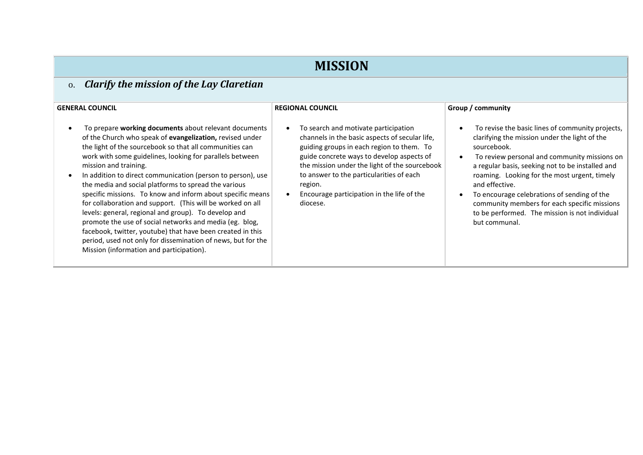# **MISSION**

### o. *Clarify the mission of the Lay Claretian*

| <b>GENERAL COUNCIL</b>                                                                                                                                                                                                                                                                                                                                                                                                                                                                                                                                                                                                                                                                                                                                                                                            | <b>REGIONAL COUNCIL</b>                                                                                                                                                                                                                                                                                                                                         | Group / community                                                                                                                                                                                                                                                                                                                                                                                                                                        |
|-------------------------------------------------------------------------------------------------------------------------------------------------------------------------------------------------------------------------------------------------------------------------------------------------------------------------------------------------------------------------------------------------------------------------------------------------------------------------------------------------------------------------------------------------------------------------------------------------------------------------------------------------------------------------------------------------------------------------------------------------------------------------------------------------------------------|-----------------------------------------------------------------------------------------------------------------------------------------------------------------------------------------------------------------------------------------------------------------------------------------------------------------------------------------------------------------|----------------------------------------------------------------------------------------------------------------------------------------------------------------------------------------------------------------------------------------------------------------------------------------------------------------------------------------------------------------------------------------------------------------------------------------------------------|
| To prepare working documents about relevant documents<br>of the Church who speak of evangelization, revised under<br>the light of the sourcebook so that all communities can<br>work with some guidelines, looking for parallels between<br>mission and training.<br>In addition to direct communication (person to person), use<br>the media and social platforms to spread the various<br>specific missions. To know and inform about specific means<br>for collaboration and support. (This will be worked on all<br>levels: general, regional and group). To develop and<br>promote the use of social networks and media (eg. blog,<br>facebook, twitter, youtube) that have been created in this<br>period, used not only for dissemination of news, but for the<br>Mission (information and participation). | To search and motivate participation<br>$\bullet$<br>channels in the basic aspects of secular life,<br>guiding groups in each region to them. To<br>guide concrete ways to develop aspects of<br>the mission under the light of the sourcebook<br>to answer to the particularities of each<br>region.<br>Encourage participation in the life of the<br>diocese. | To revise the basic lines of community projects,<br>clarifying the mission under the light of the<br>sourcebook.<br>To review personal and community missions on<br>a regular basis, seeking not to be installed and<br>roaming. Looking for the most urgent, timely<br>and effective.<br>To encourage celebrations of sending of the<br>community members for each specific missions<br>to be performed. The mission is not individual<br>but communal. |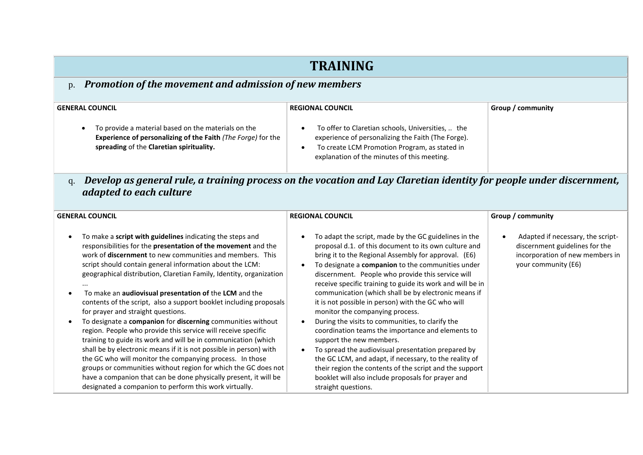### **TRAINING**

#### p. *Promotion of the movement and admission of new members*

| <b>GENERAL COUNCIL</b>                                                                                                                                                 | <b>REGIONAL COUNCIL</b>                                                                                                                                                                                 | Group / community |
|------------------------------------------------------------------------------------------------------------------------------------------------------------------------|---------------------------------------------------------------------------------------------------------------------------------------------------------------------------------------------------------|-------------------|
| To provide a material based on the materials on the<br><b>Experience of personalizing of the Faith (The Forge) for the</b><br>spreading of the Claretian spirituality. | To offer to Claretian schools, Universities,  the<br>experience of personalizing the Faith (The Forge).<br>To create LCM Promotion Program, as stated in<br>explanation of the minutes of this meeting. |                   |

q. *Develop as general rule, a training process on the vocation and Lay Claretian identity for people under discernment, adapted to each culture*

| <b>GENERAL COUNCIL</b>                                                                                                                                                                                                                                                                                                                                                                                                                                                                                                                                                                                                                                                                                                                                                                                                                                                                                                                                                                                                                                                 | <b>REGIONAL COUNCIL</b>                                                                                                                                                                                                                                                                                                                                                                                                                                                                                                                                                                                                                                                                                                                                                                                                                                                                      | Group / community                                                                                                             |
|------------------------------------------------------------------------------------------------------------------------------------------------------------------------------------------------------------------------------------------------------------------------------------------------------------------------------------------------------------------------------------------------------------------------------------------------------------------------------------------------------------------------------------------------------------------------------------------------------------------------------------------------------------------------------------------------------------------------------------------------------------------------------------------------------------------------------------------------------------------------------------------------------------------------------------------------------------------------------------------------------------------------------------------------------------------------|----------------------------------------------------------------------------------------------------------------------------------------------------------------------------------------------------------------------------------------------------------------------------------------------------------------------------------------------------------------------------------------------------------------------------------------------------------------------------------------------------------------------------------------------------------------------------------------------------------------------------------------------------------------------------------------------------------------------------------------------------------------------------------------------------------------------------------------------------------------------------------------------|-------------------------------------------------------------------------------------------------------------------------------|
| To make a <b>script with guidelines</b> indicating the steps and<br>responsibilities for the <b>presentation of the movement</b> and the<br>work of <b>discernment</b> to new communities and members. This<br>script should contain general information about the LCM:<br>geographical distribution, Claretian Family, Identity, organization<br>To make an <b>audiovisual presentation of</b> the <b>LCM</b> and the<br>contents of the script, also a support booklet including proposals<br>for prayer and straight questions.<br>To designate a companion for discerning communities without<br>region. People who provide this service will receive specific<br>training to guide its work and will be in communication (which<br>shall be by electronic means if it is not possible in person) with<br>the GC who will monitor the companying process. In those<br>groups or communities without region for which the GC does not<br>have a companion that can be done physically present, it will be<br>designated a companion to perform this work virtually. | To adapt the script, made by the GC guidelines in the<br>proposal d.1. of this document to its own culture and<br>bring it to the Regional Assembly for approval. (E6)<br>To designate a companion to the communities under<br>discernment. People who provide this service will<br>receive specific training to guide its work and will be in<br>communication (which shall be by electronic means if<br>it is not possible in person) with the GC who will<br>monitor the companying process.<br>During the visits to communities, to clarify the<br>coordination teams the importance and elements to<br>support the new members.<br>To spread the audiovisual presentation prepared by<br>the GC LCM, and adapt, if necessary, to the reality of<br>their region the contents of the script and the support<br>booklet will also include proposals for prayer and<br>straight questions. | Adapted if necessary, the script-<br>discernment guidelines for the<br>incorporation of new members in<br>your community (E6) |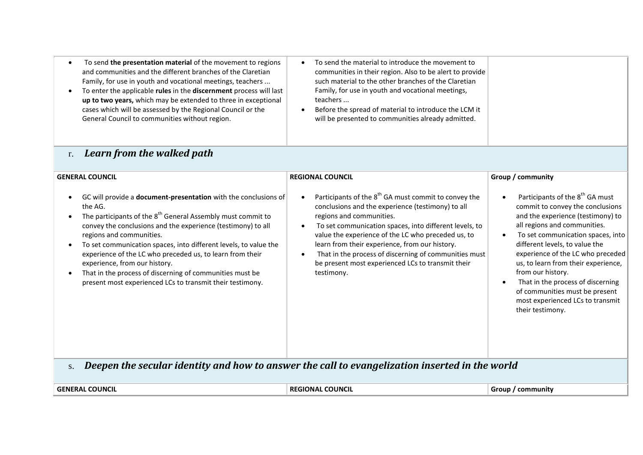- To send **the presentation material** of the movement to regions and communities and the different branches of the Claretian Family, for use in youth and vocational meetings, teachers ...
- To enter the applicable **rules** in the **discernment** process will last **up to two years,** which may be extended to three in exceptional cases which will be assessed by the Regional Council or the General Council to communities without region.
- To send the material to introduce the movement to communities in their region. Also to be alert to provide such material to the other branches of the Claretian Family, for use in youth and vocational meetings, teachers ...
- Before the spread of material to introduce the LCM it will be presented to communities already admitted.

#### r. *Learn from the walked path*

| <b>GENERAL COUNCIL</b>                                                                                                                                                                                                                                                                                                                                                                                                                                                                                                                              | <b>REGIONAL COUNCIL</b>                                                                                                                                                                                                                                                                                                                                                                                                                         | Group / community                                                                                                                                                                                                                                                                                                                                                                                                                                           |
|-----------------------------------------------------------------------------------------------------------------------------------------------------------------------------------------------------------------------------------------------------------------------------------------------------------------------------------------------------------------------------------------------------------------------------------------------------------------------------------------------------------------------------------------------------|-------------------------------------------------------------------------------------------------------------------------------------------------------------------------------------------------------------------------------------------------------------------------------------------------------------------------------------------------------------------------------------------------------------------------------------------------|-------------------------------------------------------------------------------------------------------------------------------------------------------------------------------------------------------------------------------------------------------------------------------------------------------------------------------------------------------------------------------------------------------------------------------------------------------------|
| GC will provide a <b>document-presentation</b> with the conclusions of<br>the AG.<br>The participants of the 8 <sup>th</sup> General Assembly must commit to<br>convey the conclusions and the experience (testimony) to all<br>regions and communities.<br>To set communication spaces, into different levels, to value the<br>experience of the LC who preceded us, to learn from their<br>experience, from our history.<br>That in the process of discerning of communities must be<br>present most experienced LCs to transmit their testimony. | Participants of the 8 <sup>th</sup> GA must commit to convey the<br>conclusions and the experience (testimony) to all<br>regions and communities.<br>To set communication spaces, into different levels, to<br>value the experience of the LC who preceded us, to<br>learn from their experience, from our history.<br>That in the process of discerning of communities must<br>be present most experienced LCs to transmit their<br>testimony. | Participants of the 8 <sup>th</sup> GA must<br>commit to convey the conclusions<br>and the experience (testimony) to<br>all regions and communities.<br>To set communication spaces, into<br>different levels, to value the<br>experience of the LC who preceded<br>us, to learn from their experience,<br>from our history.<br>That in the process of discerning<br>of communities must be present<br>most experienced LCs to transmit<br>their testimony. |
| Deepen the secular identity and how to answer the call to evangelization inserted in the world                                                                                                                                                                                                                                                                                                                                                                                                                                                      |                                                                                                                                                                                                                                                                                                                                                                                                                                                 |                                                                                                                                                                                                                                                                                                                                                                                                                                                             |

| <b>GENERAI</b><br><b>COUNCI</b> | <b>COUNCIL</b><br>` RFGIL<br>`ΙΟΝΑΙ<br>вı | community<br>Group |
|---------------------------------|-------------------------------------------|--------------------|
|                                 |                                           |                    |